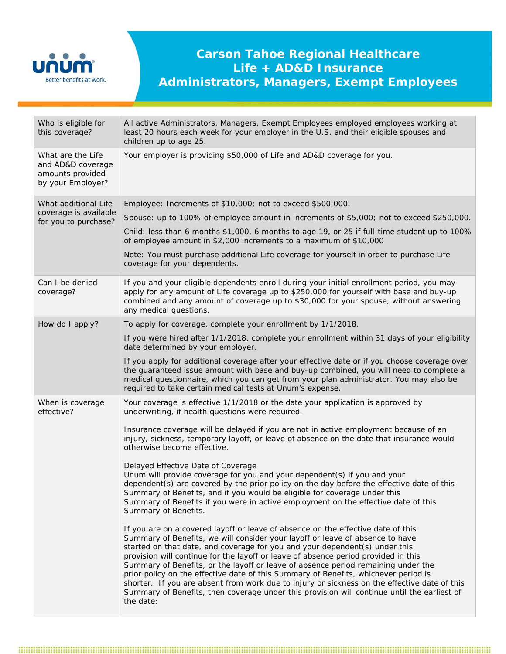

## **Carson Tahoe Regional Healthcare Life + AD&D Insurance Administrators, Managers, Exempt Employees**

| Who is eligible for<br>this coverage?                                           | All active Administrators, Managers, Exempt Employees employed employees working at<br>least 20 hours each week for your employer in the U.S. and their eligible spouses and<br>children up to age 25.                                                                                                                                                                                                                                                                                                                                                                                                                                                                                                                                                                                                                                                                                                                                                                                                                                                                                                                                                                                                                                                                                                                                                                                                                                                                                             |
|---------------------------------------------------------------------------------|----------------------------------------------------------------------------------------------------------------------------------------------------------------------------------------------------------------------------------------------------------------------------------------------------------------------------------------------------------------------------------------------------------------------------------------------------------------------------------------------------------------------------------------------------------------------------------------------------------------------------------------------------------------------------------------------------------------------------------------------------------------------------------------------------------------------------------------------------------------------------------------------------------------------------------------------------------------------------------------------------------------------------------------------------------------------------------------------------------------------------------------------------------------------------------------------------------------------------------------------------------------------------------------------------------------------------------------------------------------------------------------------------------------------------------------------------------------------------------------------------|
| What are the Life<br>and AD&D coverage<br>amounts provided<br>by your Employer? | Your employer is providing \$50,000 of Life and AD&D coverage for you.                                                                                                                                                                                                                                                                                                                                                                                                                                                                                                                                                                                                                                                                                                                                                                                                                                                                                                                                                                                                                                                                                                                                                                                                                                                                                                                                                                                                                             |
| What additional Life<br>coverage is available<br>for you to purchase?           | Employee: Increments of \$10,000; not to exceed \$500,000.<br>Spouse: up to 100% of employee amount in increments of \$5,000; not to exceed \$250,000.<br>Child: less than 6 months \$1,000, 6 months to age 19, or 25 if full-time student up to 100%<br>of employee amount in \$2,000 increments to a maximum of \$10,000<br>Note: You must purchase additional Life coverage for yourself in order to purchase Life<br>coverage for your dependents.                                                                                                                                                                                                                                                                                                                                                                                                                                                                                                                                                                                                                                                                                                                                                                                                                                                                                                                                                                                                                                            |
| Can I be denied<br>coverage?                                                    | If you and your eligible dependents enroll during your initial enrollment period, you may<br>apply for any amount of Life coverage up to \$250,000 for yourself with base and buy-up<br>combined and any amount of coverage up to \$30,000 for your spouse, without answering<br>any medical questions.                                                                                                                                                                                                                                                                                                                                                                                                                                                                                                                                                                                                                                                                                                                                                                                                                                                                                                                                                                                                                                                                                                                                                                                            |
| How do I apply?                                                                 | To apply for coverage, complete your enrollment by 1/1/2018.<br>If you were hired after 1/1/2018, complete your enrollment within 31 days of your eligibility<br>date determined by your employer.<br>If you apply for additional coverage after your effective date or if you choose coverage over<br>the guaranteed issue amount with base and buy-up combined, you will need to complete a<br>medical questionnaire, which you can get from your plan administrator. You may also be<br>required to take certain medical tests at Unum's expense.                                                                                                                                                                                                                                                                                                                                                                                                                                                                                                                                                                                                                                                                                                                                                                                                                                                                                                                                               |
| When is coverage<br>effective?                                                  | Your coverage is effective 1/1/2018 or the date your application is approved by<br>underwriting, if health questions were required.<br>Insurance coverage will be delayed if you are not in active employment because of an<br>injury, sickness, temporary layoff, or leave of absence on the date that insurance would<br>otherwise become effective.<br>Delayed Effective Date of Coverage<br>Unum will provide coverage for you and your dependent(s) if you and your<br>dependent(s) are covered by the prior policy on the day before the effective date of this<br>Summary of Benefits, and if you would be eligible for coverage under this<br>Summary of Benefits if you were in active employment on the effective date of this<br>Summary of Benefits.<br>If you are on a covered layoff or leave of absence on the effective date of this<br>Summary of Benefits, we will consider your layoff or leave of absence to have<br>started on that date, and coverage for you and your dependent(s) under this<br>provision will continue for the layoff or leave of absence period provided in this<br>Summary of Benefits, or the layoff or leave of absence period remaining under the<br>prior policy on the effective date of this Summary of Benefits, whichever period is<br>shorter. If you are absent from work due to injury or sickness on the effective date of this<br>Summary of Benefits, then coverage under this provision will continue until the earliest of<br>the date: |